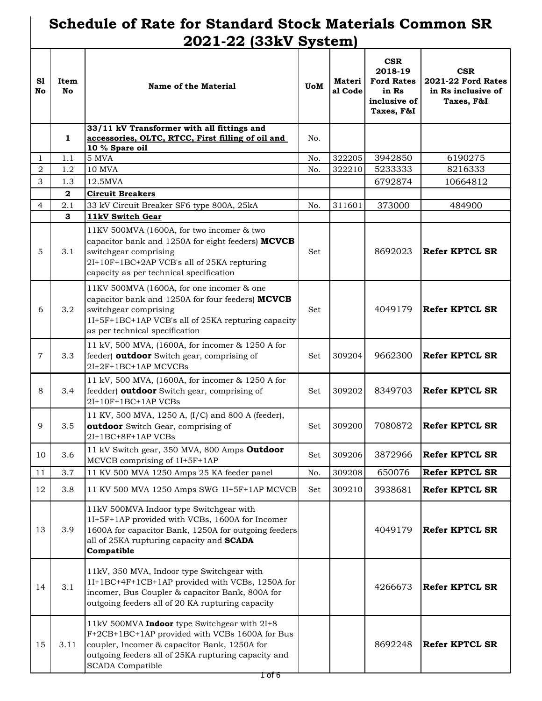## **Schedule of Rate for Standard Stock Materials Common SR 2021-22 (33kV System)**

| S1<br><b>No</b> | Item<br>No.  | <b>Name of the Material</b>                                                                                                                                                                                                      | <b>UoM</b> | <b>Materi</b><br>al Code | <b>CSR</b><br>2018-19<br><b>Ford Rates</b><br>in Rs<br>inclusive of<br>Taxes, F&I | <b>CSR</b><br><b>2021-22 Ford Rates</b><br>in Rs inclusive of<br>Taxes, F&I |
|-----------------|--------------|----------------------------------------------------------------------------------------------------------------------------------------------------------------------------------------------------------------------------------|------------|--------------------------|-----------------------------------------------------------------------------------|-----------------------------------------------------------------------------|
|                 |              | 33/11 kV Transformer with all fittings and                                                                                                                                                                                       |            |                          |                                                                                   |                                                                             |
|                 | 1            | accessories, OLTC, RTCC, First filling of oil and<br>10 % Spare oil                                                                                                                                                              | No.        |                          |                                                                                   |                                                                             |
| 1               | 1.1          | 5 MVA                                                                                                                                                                                                                            | No.        | 322205                   | 3942850                                                                           | 6190275                                                                     |
| $\overline{2}$  | 1.2          | <b>10 MVA</b>                                                                                                                                                                                                                    | No.        | 322210                   | 5233333                                                                           | 8216333                                                                     |
| 3               | 1.3          | 12.5MVA                                                                                                                                                                                                                          |            |                          | 6792874                                                                           | 10664812                                                                    |
|                 | $\mathbf{2}$ | <b>Circuit Breakers</b>                                                                                                                                                                                                          |            |                          |                                                                                   |                                                                             |
| $\overline{4}$  | 2.1          | 33 kV Circuit Breaker SF6 type 800A, 25kA                                                                                                                                                                                        | No.        | 311601                   | 373000                                                                            | 484900                                                                      |
|                 | 3            | 11kV Switch Gear                                                                                                                                                                                                                 |            |                          |                                                                                   |                                                                             |
| 5               | 3.1          | 11KV 500MVA (1600A, for two incomer & two<br>capacitor bank and 1250A for eight feeders) MCVCB<br>switchgear comprising<br>2I+10F+1BC+2AP VCB's all of 25KA repturing<br>capacity as per technical specification                 | Set        |                          | 8692023                                                                           | <b>Refer KPTCL SR</b>                                                       |
| 6               | 3.2          | 11KV 500MVA (1600A, for one incomer & one<br>capacitor bank and 1250A for four feeders) MCVCB<br>switchgear comprising<br>1I+5F+1BC+1AP VCB's all of 25KA repturing capacity<br>as per technical specification                   | Set        |                          | 4049179                                                                           | Refer KPTCL SR                                                              |
| $\overline{7}$  | 3.3          | 11 kV, 500 MVA, (1600A, for incomer & 1250 A for<br>feeder) outdoor Switch gear, comprising of<br>2I+2F+1BC+1AP MCVCBs                                                                                                           | <b>Set</b> | 309204                   | 9662300                                                                           | <b>Refer KPTCL SR</b>                                                       |
| 8               | 3.4          | 11 kV, 500 MVA, (1600A, for incomer & 1250 A for<br>feedder) outdoor Switch gear, comprising of<br>2I+10F+1BC+1AP VCBs                                                                                                           | Set        | 309202                   | 8349703                                                                           | <b>Refer KPTCL SR</b>                                                       |
| 9               | 3.5          | 11 KV, 500 MVA, 1250 A, (I/C) and 800 A (feeder),<br>outdoor Switch Gear, comprising of<br>2I+1BC+8F+1AP VCBs                                                                                                                    | Set        | 309200                   | 7080872                                                                           | <b>Refer KPTCL SR</b>                                                       |
| 10              | 3.6          | 11 kV Switch gear, 350 MVA, 800 Amps Outdoor<br>MCVCB comprising of 1I+5F+1AP                                                                                                                                                    | Set        | 309206                   | 3872966                                                                           | <b>Refer KPTCL SR</b>                                                       |
| 11              | 3.7          | 11 KV 500 MVA 1250 Amps 25 KA feeder panel                                                                                                                                                                                       | No.        | 309208                   | 650076                                                                            | <b>Refer KPTCL SR</b>                                                       |
| 12              | 3.8          | 11 KV 500 MVA 1250 Amps SWG 1I+5F+1AP MCVCB                                                                                                                                                                                      | Set        | 309210                   | 3938681                                                                           | <b>Refer KPTCL SR</b>                                                       |
| 13              | 3.9          | 11kV 500MVA Indoor type Switchgear with<br>1I+5F+1AP provided with VCBs, 1600A for Incomer<br>1600A for capacitor Bank, 1250A for outgoing feeders<br>all of 25KA rupturing capacity and SCADA<br>Compatible                     |            |                          | 4049179                                                                           | <b>Refer KPTCL SR</b>                                                       |
| 14              | 3.1          | 11kV, 350 MVA, Indoor type Switchgear with<br>1I+1BC+4F+1CB+1AP provided with VCBs, 1250A for<br>incomer, Bus Coupler & capacitor Bank, 800A for<br>outgoing feeders all of 20 KA rupturing capacity                             |            |                          | 4266673                                                                           | <b>Refer KPTCL SR</b>                                                       |
| 15              | 3.11         | 11kV 500MVA Indoor type Switchgear with 2I+8<br>F+2CB+1BC+1AP provided with VCBs 1600A for Bus<br>coupler, Incomer & capacitor Bank, 1250A for<br>outgoing feeders all of 25KA rupturing capacity and<br><b>SCADA</b> Compatible |            |                          | 8692248                                                                           | <b>Refer KPTCL SR</b>                                                       |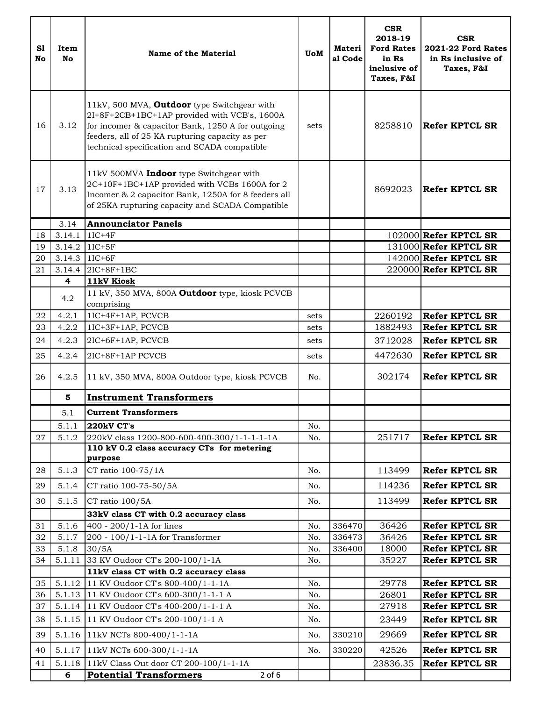| S1<br><b>No</b> | Item<br><b>No</b> | <b>Name of the Material</b>                                                                                                                                                                                                                         | <b>UoM</b> | <b>Materi</b><br>al Code | <b>CSR</b><br>2018-19<br><b>Ford Rates</b><br>in Rs<br>inclusive of<br>Taxes, F&I | <b>CSR</b><br><b>2021-22 Ford Rates</b><br>in Rs inclusive of<br>Taxes, F&I |
|-----------------|-------------------|-----------------------------------------------------------------------------------------------------------------------------------------------------------------------------------------------------------------------------------------------------|------------|--------------------------|-----------------------------------------------------------------------------------|-----------------------------------------------------------------------------|
| 16              | 3.12              | 11kV, 500 MVA, Outdoor type Switchgear with<br>2I+8F+2CB+1BC+1AP provided with VCB's, 1600A<br>for incomer & capacitor Bank, 1250 A for outgoing<br>feeders, all of 25 KA rupturing capacity as per<br>technical specification and SCADA compatible | sets       |                          | 8258810                                                                           | <b>Refer KPTCL SR</b>                                                       |
| 17              | 3.13              | 11kV 500MVA Indoor type Switchgear with<br>2C+10F+1BC+1AP provided with VCBs 1600A for 2<br>Incomer & 2 capacitor Bank, 1250A for 8 feeders all<br>of 25KA rupturing capacity and SCADA Compatible                                                  |            |                          | 8692023                                                                           | Refer KPTCL SR                                                              |
|                 | 3.14              | <b>Announciator Panels</b>                                                                                                                                                                                                                          |            |                          |                                                                                   |                                                                             |
| 18              | 3.14.1            | $1IC+4F$                                                                                                                                                                                                                                            |            |                          |                                                                                   | $102000$ Refer KPTCL SR                                                     |
| 19              | 3.14.2            | $1IC+5F$                                                                                                                                                                                                                                            |            |                          |                                                                                   | 131000 Refer KPTCL SR                                                       |
| 20              | 3.14.3            | $1IC+6F$                                                                                                                                                                                                                                            |            |                          |                                                                                   | 142000 Refer KPTCL SR                                                       |
| 21              | 3.14.4<br>4       | $2IC+8F+1BC$                                                                                                                                                                                                                                        |            |                          |                                                                                   | $220000$ Refer KPTCL SR                                                     |
|                 |                   | 11kV Kiosk                                                                                                                                                                                                                                          |            |                          |                                                                                   |                                                                             |
|                 | 4.2               | 11 kV, 350 MVA, 800A Outdoor type, kiosk PCVCB<br>comprising                                                                                                                                                                                        |            |                          |                                                                                   |                                                                             |
| 22              | 4.2.1             | 1IC+4F+1AP, PCVCB                                                                                                                                                                                                                                   | sets       |                          | 2260192                                                                           | <b>Refer KPTCL SR</b>                                                       |
| 23              | 4.2.2             | 1IC+3F+1AP, PCVCB                                                                                                                                                                                                                                   | sets       |                          | 1882493                                                                           | <b>Refer KPTCL SR</b>                                                       |
| 24              | 4.2.3             | 2IC+6F+1AP, PCVCB                                                                                                                                                                                                                                   | sets       |                          | 3712028                                                                           | <b>Refer KPTCL SR</b>                                                       |
|                 |                   |                                                                                                                                                                                                                                                     |            |                          |                                                                                   |                                                                             |
| 25              | 4.2.4             | 2IC+8F+1AP PCVCB                                                                                                                                                                                                                                    | sets       |                          | 4472630                                                                           | <b>Refer KPTCL SR</b>                                                       |
| 26              | 4.2.5             | 11 kV, 350 MVA, 800A Outdoor type, kiosk PCVCB                                                                                                                                                                                                      | No.        |                          | 302174                                                                            | Refer KPTCL SR                                                              |
|                 | 5                 | <b>Instrument Transformers</b>                                                                                                                                                                                                                      |            |                          |                                                                                   |                                                                             |
|                 | 5.1               | <b>Current Transformers</b>                                                                                                                                                                                                                         |            |                          |                                                                                   |                                                                             |
|                 | 5.1.1             | 220kV CT's                                                                                                                                                                                                                                          | No.        |                          |                                                                                   |                                                                             |
| 27              | 5.1.2             | 220kV class 1200-800-600-400-300/1-1-1-1-1A                                                                                                                                                                                                         | No.        |                          | 251717                                                                            | <b>Refer KPTCL SR</b>                                                       |
|                 |                   | 110 kV 0.2 class accuracy CTs for metering                                                                                                                                                                                                          |            |                          |                                                                                   |                                                                             |
|                 |                   | purpose                                                                                                                                                                                                                                             |            |                          |                                                                                   |                                                                             |
| 28              | 5.1.3             | CT ratio 100-75/1A                                                                                                                                                                                                                                  | No.        |                          | 113499                                                                            | <b>Refer KPTCL SR</b>                                                       |
| 29              | 5.1.4             | CT ratio 100-75-50/5A                                                                                                                                                                                                                               | No.        |                          | 114236                                                                            | <b>Refer KPTCL SR</b>                                                       |
| 30              | 5.1.5             | CT ratio 100/5A                                                                                                                                                                                                                                     | No.        |                          | 113499                                                                            | <b>Refer KPTCL SR</b>                                                       |
|                 |                   | 33kV class CT with 0.2 accuracy class                                                                                                                                                                                                               |            |                          |                                                                                   |                                                                             |
| 31              | 5.1.6             | 400 - 200/1-1A for lines                                                                                                                                                                                                                            | No.        | 336470                   | 36426                                                                             | <b>Refer KPTCL SR</b>                                                       |
| 32              | 5.1.7             | 200 - 100/1-1-1A for Transformer                                                                                                                                                                                                                    | No.        | 336473                   | 36426                                                                             | <b>Refer KPTCL SR</b>                                                       |
| 33              | 5.1.8             | 30/5A                                                                                                                                                                                                                                               | No.        | 336400                   | 18000                                                                             | <b>Refer KPTCL SR</b>                                                       |
| 34              | 5.1.11            | 33 KV Oudoor CT's 200-100/1-1A                                                                                                                                                                                                                      | No.        |                          | 35227                                                                             | <b>Refer KPTCL SR</b>                                                       |
|                 |                   | 11kV class CT with 0.2 accuracy class                                                                                                                                                                                                               |            |                          |                                                                                   |                                                                             |
| 35              | 5.1.12            | 11 KV Oudoor CT's 800-400/1-1-1A                                                                                                                                                                                                                    | No.        |                          | 29778                                                                             | <b>Refer KPTCL SR</b>                                                       |
| 36              | 5.1.13            | 11 KV Oudoor CT's 600-300/1-1-1 A                                                                                                                                                                                                                   | No.        |                          | 26801                                                                             | Refer KPTCL SR                                                              |
| 37              | 5.1.14            | 11 KV Oudoor CT's 400-200/1-1-1 A                                                                                                                                                                                                                   | No.        |                          | 27918                                                                             | <b>Refer KPTCL SR</b>                                                       |
| 38              | 5.1.15            | 11 KV Oudoor CT's 200-100/1-1 A                                                                                                                                                                                                                     | No.        |                          | 23449                                                                             | <b>Refer KPTCL SR</b>                                                       |
| 39              | 5.1.16            | 11kV NCTs 800-400/1-1-1A                                                                                                                                                                                                                            | No.        | 330210                   | 29669                                                                             | <b>Refer KPTCL SR</b>                                                       |
| 40              | 5.1.17            | 11kV NCTs 600-300/1-1-1A                                                                                                                                                                                                                            | No.        | 330220                   | 42526                                                                             | <b>Refer KPTCL SR</b>                                                       |
| 41              | 5.1.18            | 11kV Class Out door CT 200-100/1-1-1A                                                                                                                                                                                                               |            |                          | 23836.35                                                                          | <b>Refer KPTCL SR</b>                                                       |
|                 | 6                 | <b>Potential Transformers</b><br>$2$ of $6$                                                                                                                                                                                                         |            |                          |                                                                                   |                                                                             |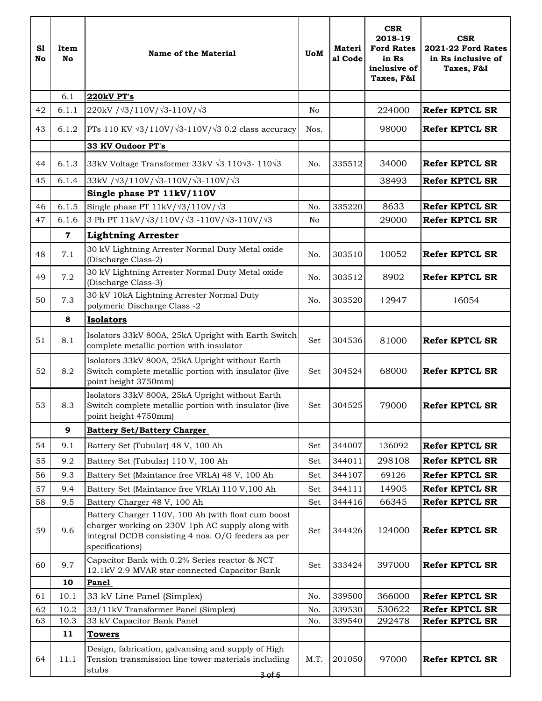| S1<br>No | Item<br><b>No</b> | <b>Name of the Material</b>                                                                                                                                                     | <b>UoM</b> | <b>Materi</b><br>al Code | <b>CSR</b><br>2018-19<br><b>Ford Rates</b><br>in Rs<br>inclusive of<br>Taxes, F&I | <b>CSR</b><br><b>2021-22 Ford Rates</b><br>in Rs inclusive of<br>Taxes, F&I |
|----------|-------------------|---------------------------------------------------------------------------------------------------------------------------------------------------------------------------------|------------|--------------------------|-----------------------------------------------------------------------------------|-----------------------------------------------------------------------------|
|          | 6.1               | 220kV PT's                                                                                                                                                                      |            |                          |                                                                                   |                                                                             |
| 42       | 6.1.1             | 220kV / $\sqrt{3}/110V/\sqrt{3} - 110V/\sqrt{3}$                                                                                                                                | No         |                          | 224000                                                                            | <b>Refer KPTCL SR</b>                                                       |
| 43       | 6.1.2             | PTs 110 KV $\sqrt{3}/110V/\sqrt{3}$ -110V/ $\sqrt{3}$ 0.2 class accuracy                                                                                                        | Nos.       |                          | 98000                                                                             | <b>Refer KPTCL SR</b>                                                       |
|          |                   | 33 KV Oudoor PT's                                                                                                                                                               |            |                          |                                                                                   |                                                                             |
| 44       | 6.1.3             | 33kV Voltage Transformer 33kV $\sqrt{3}$ 110 $\sqrt{3}$ - 110 $\sqrt{3}$                                                                                                        | No.        | 335512                   | 34000                                                                             | <b>Refer KPTCL SR</b>                                                       |
| 45       | 6.1.4             | $33kV / \sqrt{3}/110V / \sqrt{3} - 110V / \sqrt{3} - 110V / \sqrt{3}$                                                                                                           |            |                          | 38493                                                                             | <b>Refer KPTCL SR</b>                                                       |
|          |                   | Single phase PT 11kV/110V                                                                                                                                                       |            |                          |                                                                                   |                                                                             |
| 46       | 6.1.5             | Single phase PT $11kV/\sqrt{3}/110V/\sqrt{3}$                                                                                                                                   | No.        | 335220                   | 8633                                                                              | <b>Refer KPTCL SR</b>                                                       |
| 47       | 6.1.6             | 3 Ph PT 11kV/ $\sqrt{3}/110V/\sqrt{3}$ -110V/ $\sqrt{3}$ -110V/ $\sqrt{3}$                                                                                                      | No         |                          | 29000                                                                             | <b>Refer KPTCL SR</b>                                                       |
|          | $\mathbf 7$       | <b>Lightning Arrester</b>                                                                                                                                                       |            |                          |                                                                                   |                                                                             |
| 48       | 7.1               | 30 kV Lightning Arrester Normal Duty Metal oxide<br>(Discharge Class-2)                                                                                                         | No.        | 303510                   | 10052                                                                             | <b>Refer KPTCL SR</b>                                                       |
| 49       | 7.2               | 30 kV Lightning Arrester Normal Duty Metal oxide<br>(Discharge Class-3)                                                                                                         | No.        | 303512                   | 8902                                                                              | <b>Refer KPTCL SR</b>                                                       |
| 50       | 7.3               | 30 kV 10kA Lightning Arrester Normal Duty<br>polymeric Discharge Class -2                                                                                                       | No.        | 303520                   | 12947                                                                             | 16054                                                                       |
|          | 8                 | <b>Isolators</b>                                                                                                                                                                |            |                          |                                                                                   |                                                                             |
| 51       | 8.1               | Isolators 33kV 800A, 25kA Upright with Earth Switch<br>complete metallic portion with insulator                                                                                 | Set        | 304536                   | 81000                                                                             | <b>Refer KPTCL SR</b>                                                       |
| 52       | 8.2               | Isolators 33kV 800A, 25kA Upright without Earth<br>Switch complete metallic portion with insulator (live<br>point height 3750mm)                                                | Set        | 304524                   | 68000                                                                             | <b>Refer KPTCL SR</b>                                                       |
| 53       | 8.3               | Isolators 33kV 800A, 25kA Upright without Earth<br>Switch complete metallic portion with insulator (live<br>point height 4750mm)                                                | Set        | 304525                   | 79000                                                                             | <b>Refer KPTCL SR</b>                                                       |
|          | 9                 | <b>Battery Set/Battery Charger</b>                                                                                                                                              |            |                          |                                                                                   |                                                                             |
| 54       | 9.1               | Battery Set (Tubular) 48 V, 100 Ah                                                                                                                                              | Set        | 344007                   | 136092                                                                            | <b>Refer KPTCL SR</b>                                                       |
| 55       | 9.2               | Battery Set (Tubular) 110 V, 100 Ah                                                                                                                                             | Set        | 344011                   | 298108                                                                            | <b>Refer KPTCL SR</b>                                                       |
| 56       | 9.3               | Battery Set (Maintance free VRLA) 48 V, 100 Ah                                                                                                                                  | Set        | 344107                   | 69126                                                                             | <b>Refer KPTCL SR</b>                                                       |
| 57       | 9.4               | Battery Set (Maintance free VRLA) 110 V,100 Ah                                                                                                                                  | Set        | 344111                   | 14905                                                                             | <b>Refer KPTCL SR</b>                                                       |
| 58       | 9.5               | Battery Charger 48 V, 100 Ah                                                                                                                                                    | Set        | 344416                   | 66345                                                                             | <b>Refer KPTCL SR</b>                                                       |
| 59       | 9.6               | Battery Charger 110V, 100 Ah (with float cum boost<br>charger working on 230V 1ph AC supply along with<br>integral DCDB consisting 4 nos. O/G feeders as per<br>specifications) | Set        | 344426                   | 124000                                                                            | <b>Refer KPTCL SR</b>                                                       |
| 60       | 9.7               | Capacitor Bank with 0.2% Series reactor & NCT<br>12.1kV 2.9 MVAR star connected Capacitor Bank                                                                                  | Set        | 333424                   | 397000                                                                            | <b>Refer KPTCL SR</b>                                                       |
|          | 10                | Panel                                                                                                                                                                           |            |                          |                                                                                   |                                                                             |
| 61       | 10.1              | 33 kV Line Panel (Simplex)                                                                                                                                                      | No.        | 339500                   | 366000                                                                            | <b>Refer KPTCL SR</b>                                                       |
| 62       | 10.2              | 33/11kV Transformer Panel (Simplex)                                                                                                                                             | No.        | 339530                   | 530622                                                                            | <b>Refer KPTCL SR</b>                                                       |
| 63       | 10.3              | 33 kV Capacitor Bank Panel                                                                                                                                                      | No.        | 339540                   | 292478                                                                            | <b>Refer KPTCL SR</b>                                                       |
| 64       | 11<br>11.1        | <b>Towers</b><br>Design, fabrication, galvansing and supply of High<br>Tension transmission line tower materials including<br>stubs                                             | M.T.       | 201050                   | 97000                                                                             | <b>Refer KPTCL SR</b>                                                       |
|          |                   | <del>3 of 6</del>                                                                                                                                                               |            |                          |                                                                                   |                                                                             |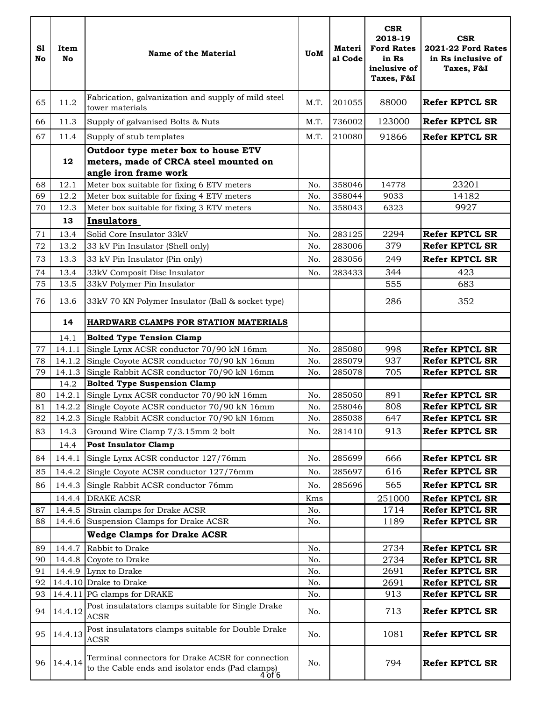| S1<br>No | Item<br>No | Name of the Material                                                                                                                      | <b>UoM</b> | Materi<br>al Code | <b>CSR</b><br>2018-19<br><b>Ford Rates</b><br>in Rs<br>inclusive of<br>Taxes, F&I | <b>CSR</b><br><b>2021-22 Ford Rates</b><br>in Rs inclusive of<br>Taxes, F&I |
|----------|------------|-------------------------------------------------------------------------------------------------------------------------------------------|------------|-------------------|-----------------------------------------------------------------------------------|-----------------------------------------------------------------------------|
| 65       | 11.2       | Fabrication, galvanization and supply of mild steel<br>tower materials                                                                    | M.T.       | 201055            | 88000                                                                             | <b>Refer KPTCL SR</b>                                                       |
| 66       | 11.3       | Supply of galvanised Bolts & Nuts                                                                                                         | M.T.       | 736002            | 123000                                                                            | <b>Refer KPTCL SR</b>                                                       |
| 67       | 11.4       | Supply of stub templates                                                                                                                  | M.T.       | 210080            | 91866                                                                             | <b>Refer KPTCL SR</b>                                                       |
|          | 12         | Outdoor type meter box to house ETV<br>meters, made of CRCA steel mounted on<br>angle iron frame work                                     |            |                   |                                                                                   |                                                                             |
| 68       | 12.1       | Meter box suitable for fixing 6 ETV meters                                                                                                | No.        | 358046            | 14778                                                                             | 23201                                                                       |
| 69       | 12.2       | Meter box suitable for fixing 4 ETV meters                                                                                                | No.        | 358044            | 9033                                                                              | 14182                                                                       |
| 70       | 12.3       | Meter box suitable for fixing 3 ETV meters                                                                                                | No.        | 358043            | 6323                                                                              | 9927                                                                        |
|          | 13         | <b>Insulators</b>                                                                                                                         |            |                   |                                                                                   |                                                                             |
| 71       | 13.4       | Solid Core Insulator 33kV                                                                                                                 | No.        | 283125            | 2294                                                                              | <b>Refer KPTCL SR</b>                                                       |
| 72       | 13.2       | 33 kV Pin Insulator (Shell only)                                                                                                          | No.        | 283006            | 379                                                                               | <b>Refer KPTCL SR</b>                                                       |
| 73       | 13.3       | 33 kV Pin Insulator (Pin only)                                                                                                            | No.        | 283056            | 249                                                                               | <b>Refer KPTCL SR</b>                                                       |
| 74       | 13.4       | 33kV Composit Disc Insulator                                                                                                              | No.        | 283433            | 344                                                                               | 423                                                                         |
| 75       | 13.5       | 33kV Polymer Pin Insulator                                                                                                                |            |                   | 555                                                                               | 683                                                                         |
| 76       | 13.6       | 33kV 70 KN Polymer Insulator (Ball & socket type)                                                                                         |            |                   | 286                                                                               | 352                                                                         |
|          | 14         | <b>HARDWARE CLAMPS FOR STATION MATERIALS</b>                                                                                              |            |                   |                                                                                   |                                                                             |
|          | 14.1       | <b>Bolted Type Tension Clamp</b>                                                                                                          |            |                   |                                                                                   |                                                                             |
| 77       | 14.1.1     | Single Lynx ACSR conductor 70/90 kN 16mm                                                                                                  | No.        | 285080            | 998                                                                               | <b>Refer KPTCL SR</b>                                                       |
| 78       | 14.1.2     | Single Coyote ACSR conductor 70/90 kN 16mm                                                                                                | No.        | 285079            | 937                                                                               | <b>Refer KPTCL SR</b>                                                       |
| 79       |            | 14.1.3 Single Rabbit ACSR conductor 70/90 kN 16mm                                                                                         | No.        | 285078            | 705                                                                               | <b>Refer KPTCL SR</b>                                                       |
|          | 14.2       | <b>Bolted Type Suspension Clamp</b>                                                                                                       |            |                   |                                                                                   |                                                                             |
| 80       | 14.2.1     | Single Lynx ACSR conductor 70/90 kN 16mm                                                                                                  | No.        | 285050            | 891                                                                               | <b>Refer KPTCL SR</b>                                                       |
| 81       | 14.2.2     | Single Coyote ACSR conductor 70/90 kN 16mm<br>Single Rabbit ACSR conductor 70/90 kN 16mm                                                  | No.        | 258046            | 808<br>647                                                                        | <b>Refer KPTCL SR</b><br><b>Refer KPTCL SR</b>                              |
| 82       | 14.2.3     |                                                                                                                                           | No.        | 285038            |                                                                                   |                                                                             |
| 83       | 14.3       | Ground Wire Clamp 7/3.15mm 2 bolt                                                                                                         | No.        | 281410            | 913                                                                               | <b>Refer KPTCL SR</b>                                                       |
|          | 14.4       | <b>Post Insulator Clamp</b>                                                                                                               |            |                   |                                                                                   |                                                                             |
| 84       | 14.4.1     | Single Lynx ACSR conductor 127/76mm                                                                                                       | No.        | 285699            | 666                                                                               | <b>Refer KPTCL SR</b>                                                       |
| 85       | 14.4.2     | Single Coyote ACSR conductor 127/76mm                                                                                                     | No.        | 285697            | 616                                                                               | <b>Refer KPTCL SR</b>                                                       |
| 86       | 14.4.3     | Single Rabbit ACSR conductor 76mm                                                                                                         | No.        | 285696            | 565                                                                               | <b>Refer KPTCL SR</b>                                                       |
|          | 14.4.4     | <b>DRAKE ACSR</b>                                                                                                                         | Kms        |                   | 251000                                                                            | <b>Refer KPTCL SR</b>                                                       |
| 87       | 14.4.5     | Strain clamps for Drake ACSR                                                                                                              | No.        |                   | 1714                                                                              | <b>Refer KPTCL SR</b>                                                       |
| 88       | 14.4.6     | Suspension Clamps for Drake ACSR                                                                                                          | No.        |                   | 1189                                                                              | <b>Refer KPTCL SR</b>                                                       |
|          |            | <b>Wedge Clamps for Drake ACSR</b>                                                                                                        |            |                   |                                                                                   |                                                                             |
| 89       | 14.4.7     | Rabbit to Drake                                                                                                                           | No.        |                   | 2734                                                                              | <b>Refer KPTCL SR</b>                                                       |
| 90       | 14.4.8     | Coyote to Drake                                                                                                                           | No.        |                   | 2734                                                                              | <b>Refer KPTCL SR</b>                                                       |
| 91       | 14.4.9     | Lynx to Drake                                                                                                                             | No.        |                   | 2691                                                                              | <b>Refer KPTCL SR</b>                                                       |
| 92<br>93 |            | 14.4.10 Drake to Drake<br>14.4.11 PG clamps for DRAKE                                                                                     | No.<br>No. |                   | 2691<br>913                                                                       | Refer KPTCL SR<br><b>Refer KPTCL SR</b>                                     |
| 94       | 14.4.12    | Post insulatators clamps suitable for Single Drake<br><b>ACSR</b>                                                                         | No.        |                   | 713                                                                               | <b>Refer KPTCL SR</b>                                                       |
| 95       | 14.4.13    | Post insulatators clamps suitable for Double Drake<br><b>ACSR</b>                                                                         | No.        |                   | 1081                                                                              | <b>Refer KPTCL SR</b>                                                       |
|          | 96 14.4.14 | Terminal connectors for Drake ACSR for connection<br>to the Cable ends and isolator ends (Pad clamps)<br>$4\overline{0}$ f $\overline{6}$ | No.        |                   | 794                                                                               | <b>Refer KPTCL SR</b>                                                       |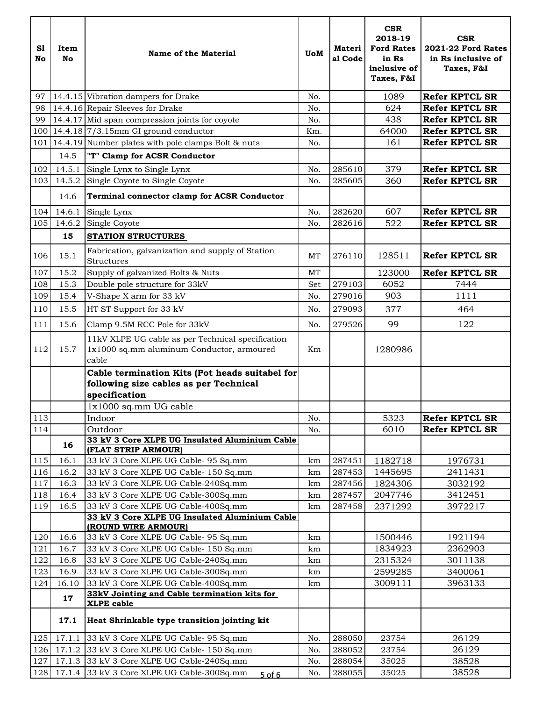| S1<br>No | Item<br><b>No</b> | Name of the Material                                                                                      | <b>UoM</b> | <b>Materi</b><br>al Code | <b>CSR</b><br>2018-19<br><b>Ford Rates</b><br>in Rs<br>inclusive of<br>Taxes, F&I | <b>CSR</b><br><b>2021-22 Ford Rates</b><br>in Rs inclusive of<br>Taxes, F&I |
|----------|-------------------|-----------------------------------------------------------------------------------------------------------|------------|--------------------------|-----------------------------------------------------------------------------------|-----------------------------------------------------------------------------|
| 97       |                   | 14.4.15 Vibration dampers for Drake                                                                       | No.        |                          | 1089                                                                              | <b>Refer KPTCL SR</b>                                                       |
| 98       |                   | 14.4.16 Repair Sleeves for Drake                                                                          | No.        |                          | 624                                                                               | <b>Refer KPTCL SR</b>                                                       |
| 99       |                   | 14.4.17 Mid span compression joints for coyote                                                            | No.        |                          | 438                                                                               | <b>Refer KPTCL SR</b>                                                       |
|          |                   | $100$ 14.4.18 7/3.15mm GI ground conductor                                                                | Km.        |                          | 64000                                                                             | <b>Refer KPTCL SR</b>                                                       |
|          |                   | 101   14.4.19 Number plates with pole clamps Bolt & nuts                                                  | No.        |                          | 161                                                                               | <b>Refer KPTCL SR</b>                                                       |
|          | 14.5              | "T" Clamp for ACSR Conductor                                                                              |            |                          |                                                                                   |                                                                             |
| 102      | 14.5.1            | Single Lynx to Single Lynx                                                                                | No.        | 285610                   | 379                                                                               | <b>Refer KPTCL SR</b>                                                       |
| 103      | 14.5.2            | Single Coyote to Single Coyote                                                                            | No.        | 285605                   | 360                                                                               | <b>Refer KPTCL SR</b>                                                       |
|          | 14.6              | Terminal connector clamp for ACSR Conductor                                                               |            |                          |                                                                                   |                                                                             |
| 104      | 14.6.1            | Single Lynx                                                                                               | No.        | 282620                   | 607                                                                               | <b>Refer KPTCL SR</b>                                                       |
| 105      | 14.6.2            | Single Coyote                                                                                             | No.        | 282616                   | 522                                                                               | <b>Refer KPTCL SR</b>                                                       |
|          | 15                | <b>STATION STRUCTURES</b>                                                                                 |            |                          |                                                                                   |                                                                             |
| 106      | 15.1              | Fabrication, galvanization and supply of Station<br>Structures                                            | <b>MT</b>  | 276110                   | 128511                                                                            | <b>Refer KPTCL SR</b>                                                       |
| 107      | 15.2              | Supply of galvanized Bolts & Nuts                                                                         | <b>MT</b>  |                          | 123000                                                                            | <b>Refer KPTCL SR</b>                                                       |
| 108      | 15.3              | Double pole structure for 33kV                                                                            | Set        | 279103                   | 6052                                                                              | 7444                                                                        |
| 109      | 15.4              | V-Shape X arm for 33 kV                                                                                   | No.        | 279016                   | 903                                                                               | 1111                                                                        |
| 110      | 15.5              | HT ST Support for 33 kV                                                                                   | No.        | 279093                   | 377                                                                               | 464                                                                         |
|          |                   |                                                                                                           |            |                          |                                                                                   |                                                                             |
| 111      | 15.6              | Clamp 9.5M RCC Pole for 33kV                                                                              | No.        | 279526                   | 99                                                                                | 122                                                                         |
| 112      | 15.7              | 11kV XLPE UG cable as per Technical specification<br>1x1000 sq.mm aluminum Conductor, armoured<br>cable   | Km         |                          | 1280986                                                                           |                                                                             |
|          |                   | Cable termination Kits (Pot heads suitabel for<br>following size cables as per Technical<br>specification |            |                          |                                                                                   |                                                                             |
|          |                   | 1x1000 sq.mm UG cable                                                                                     |            |                          |                                                                                   |                                                                             |
| 113      |                   | Indoor                                                                                                    | No.        |                          | 5323                                                                              | <b>Refer KPTCL SR</b>                                                       |
| 114      |                   | Outdoor                                                                                                   | No.        |                          | 6010                                                                              | <b>Refer KPTCL SR</b>                                                       |
|          | 16                | 33 kV 3 Core XLPE UG Insulated Aluminium Cable<br>(FLAT STRIP ARMOUR)                                     |            |                          |                                                                                   |                                                                             |
| 115      | 16.1              | 33 kV 3 Core XLPE UG Cable- 95 Sq.mm                                                                      | km         | 287451                   | 1182718                                                                           | 1976731                                                                     |
| 116      | 16.2              | 33 kV 3 Core XLPE UG Cable- 150 Sq.mm                                                                     | km         | 287453                   | 1445695                                                                           | 2411431                                                                     |
| 117      | 16.3              | 33 kV 3 Core XLPE UG Cable-240Sq.mm                                                                       | km         | 287456                   | 1824306                                                                           | 3032192                                                                     |
| 118      | 16.4              | 33 kV 3 Core XLPE UG Cable-300Sq.mm                                                                       | km         | 287457                   | 2047746                                                                           | 3412451                                                                     |
| 119      | 16.5              | 33 kV 3 Core XLPE UG Cable-400Sq.mm<br>33 kV 3 Core XLPE UG Insulated Aluminium Cable                     | km         | 287458                   | 2371292                                                                           | 3972217                                                                     |
|          |                   | (ROUND WIRE ARMOUR)                                                                                       |            |                          |                                                                                   |                                                                             |
| 120      | 16.6              | 33 kV 3 Core XLPE UG Cable- 95 Sq.mm                                                                      | km         |                          | 1500446                                                                           | 1921194                                                                     |
| 121      | 16.7              | 33 kV 3 Core XLPE UG Cable- 150 Sq.mm                                                                     | km         |                          | 1834923                                                                           | 2362903                                                                     |
| 122      | 16.8              | 33 kV 3 Core XLPE UG Cable-240Sq.mm                                                                       | km         |                          | 2315324                                                                           | 3011138                                                                     |
| 123      | 16.9              | 33 kV 3 Core XLPE UG Cable-300Sq.mm                                                                       | km         |                          | 2599285                                                                           | 3400061                                                                     |
| 124      | 16.10             | 33 kV 3 Core XLPE UG Cable-400Sq.mm                                                                       | km         |                          | 3009111                                                                           | 3963133                                                                     |
|          | 17                | 33kV Jointing and Cable termination kits for<br><b>XLPE</b> cable                                         |            |                          |                                                                                   |                                                                             |
|          | 17.1              | Heat Shrinkable type transition jointing kit                                                              |            |                          |                                                                                   |                                                                             |
| 125      | 17.1.1            | 33 kV 3 Core XLPE UG Cable- 95 Sq.mm                                                                      | No.        | 288050                   | 23754                                                                             | 26129                                                                       |
| 126      | 17.1.2            | 33 kV 3 Core XLPE UG Cable- 150 Sq.mm                                                                     | No.        | 288052                   | 23754                                                                             | 26129                                                                       |
| 127      | 17.1.3            | 33 kV 3 Core XLPE UG Cable-240Sq.mm                                                                       | No.        | 288054                   | 35025                                                                             | 38528                                                                       |
| 128      | 17.1.4            | 33 kV 3 Core XLPE UG Cable-300Sq.mm<br>$5$ of 6                                                           | No.        | 288055                   | 35025                                                                             | 38528                                                                       |